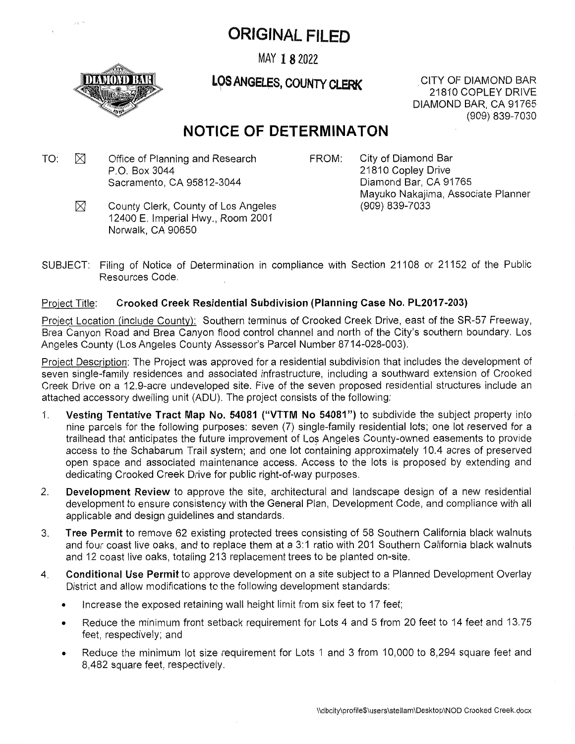# ORIGINAL FILED

MAY 18 2022



**LOS ANGELES, COUNTY CLERK**CITY OF DIAMOND BAR

21810 COPLEY DRIVE DIAMOND BAR, CA 91765 (909) 839-7030

## **NOTICE OF DETERMINATON**

- $TO: \quad \boxtimes \qquad$  Office of Planning and Research  $\qquad \qquad \text{FROM}:$ P.O. Box 3044 Sacramento, CA 95812-3044
- 

City of Diamond Bar 21810 Copley Drive Diamond Bar, CA 91765 Mayuko Nakajima, Associate Planner (909) 839-7033

- M County Clerk, County of Los Angeles 12400 E. Imperial Hwy., Room 2001 Norwalk, CA 90650
- Filing of Notice of Determination in compliance with Section 21108 or 21152 of the Public Resources Code. SUBJECT:

#### Project Title: **Crooked Creek Residential Subdivision (Planning Case No. PL2017-203)**

Project Location (include County): Southern terminus of Crooked Creek Drive, east of the SR-57 Freeway, Brea Canyon Road and Brea Canyon flood control channel and north of the City's southern boundary. Los Angeles County (Los Angeles County Assessor's Parcel Number 8714-028-003).

Project Description: The Project was approved for <sup>a</sup> residential subdivision that includes the development of seven single-family residences and associated infrastructure, including <sup>a</sup> southward extension of Crooked Creek Drive on <sup>a</sup> 12.9-acre undeveloped site. Five of the seven proposed residential structures include an attached accessory dwelling unit (ADU). The project consists of the following:

- 1. **Vesting Tentative Tract Map No. 54081 ("VTTM No 54081")** to subdivide the subject property into nine parcels for the following purposes: seven (7) single-family residential lots; one lot reserved for <sup>a</sup> trailhead that anticipates the future improvement of Los Angeles County-owned easements to provide access to the Schabarum Trail system; and one lot containing approximately 10.4 acres of preserved open space and associated maintenance access. Access to the lots is proposed by extending and dedicating Crooked Creek Drive for public right-of-way purposes.
- 2. **Development Review** to approve the site, architectural and landscape design of <sup>a</sup> new residential development to ensure consistency with the General Plan, Development Code, and compliance with all applicable and design guidelines and standards.
- 3. **Tree Permit** to remove 62 existing protected trees consisting of 58 Southern California black walnuts and four coast live oaks, and to replace them at <sup>a</sup> 3:1 ratio with 201 Southern California black walnuts and 12 coast live oaks, totaling 213 replacement trees to be planted on-site.
- 4. **Conditional Use Permit** to approve development on <sup>a</sup> site subject to <sup>a</sup> Planned Development Overlay District and allow modifications to the following development standards:
	- •Increase the exposed retaining wall height limit from six feet to 17 feet;
	- • Reduce the minimum front setback requirement for Lots 4 and 5 from 20 feet to 14 feet and 13.75 feet, respectively; and
	- • Reduce the minimum lot size requirement for Lots 1 and 3 from 10,000 to 8,294 square feet and 8,482 square feet, respectively.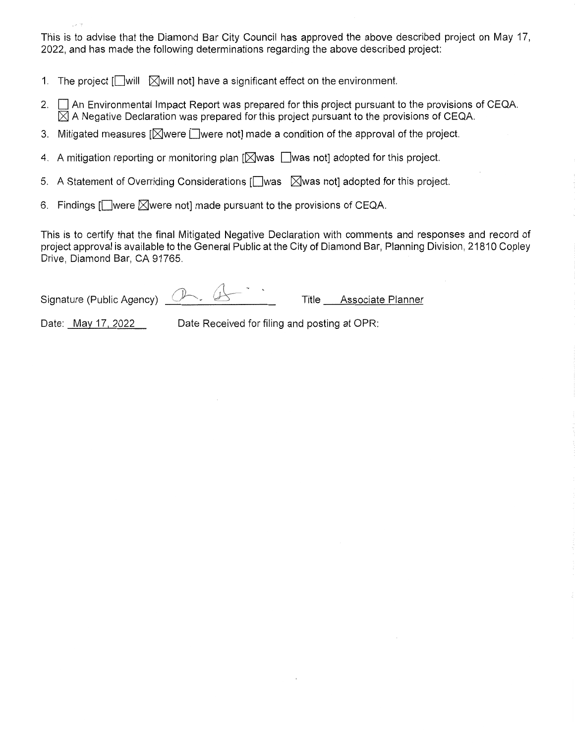This is to advise that the Diamond Bar City Council has approved the above described project on May 17, 2022, and has made the following determinations regarding the above described project:

- 1. The project  $\Box$  will  $\Box$  will not] have a significant effect on the environment.
- 2. An Environmental Impact Report was prepared for this project pursuant to the provisions of CEQA.  $\boxtimes$  A Negative Declaration was prepared for this project pursuant to the provisions of CEQA.
- 3. Mitigated measures  $\mathbb{N}$ were  $\Box$ were not] made a condition of the approval of the project.
- 4. A mitigation reporting or monitoring plan  $[\boxtimes]$ was  $[\Box]$ was not] adopted for this project.
- 5. A Statement of Overriding Considerations [ $\Box$ was  $\Box$  Was not] adopted for this project.
- 6. Findings  $\Box$  were  $\Box$  were not] made pursuant to the provisions of CEQA.

This is to certify that the final Mitigated Negative Declaration with comments and responses and record of project approval is available to the General Public at the City of Diamond Bar, Planning Division, 21810 Copley Drive, Diamond Bar, CA 91765.

**-X** *A* Signature (Public Agency)  $(1)$   $(2)$  Title Associate Planner

Date: May 17, 2022 Date Received for filing and posting at OPR: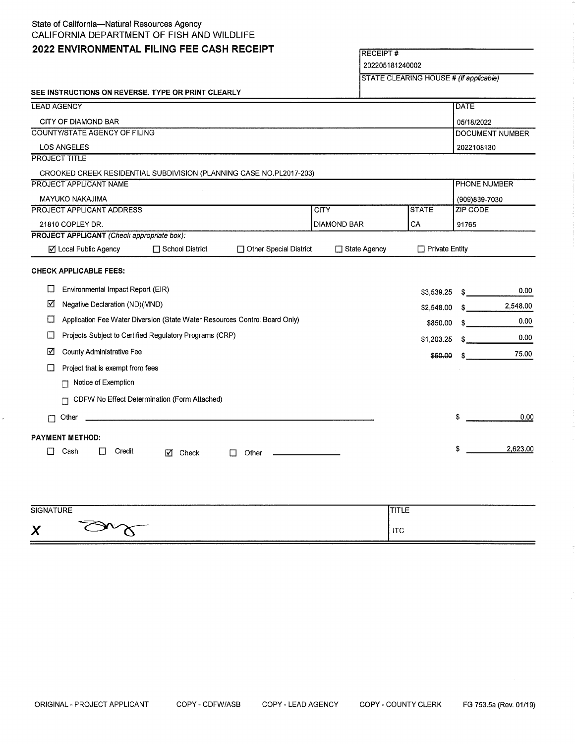#### State of California—Natural Resources Agency CALIFORNIA DEPARTMENT OF FISH AND WILDLIFE

### **<sup>2022</sup> ENVIRONMENTAL FILING FEE CASH RECEIPT** RECEIPT #

202205181240002

STATE CLEARING HOUSE # *(If applicable)*

|                                                                                      |       |                               |        | SEE INSTRUCTIONS ON REVERSE. TYPE OR PRINT CLEARLY |                                                                     |                    |                     |            |                       |                         |          |  |
|--------------------------------------------------------------------------------------|-------|-------------------------------|--------|----------------------------------------------------|---------------------------------------------------------------------|--------------------|---------------------|------------|-----------------------|-------------------------|----------|--|
| <b>LEAD AGENCY</b>                                                                   |       |                               |        |                                                    |                                                                     |                    |                     |            |                       | <b>DATE</b>             |          |  |
| CITY OF DIAMOND BAR                                                                  |       |                               |        |                                                    |                                                                     |                    |                     |            |                       | 05/18/2022              |          |  |
| COUNTY/STATE AGENCY OF FILING                                                        |       |                               |        |                                                    |                                                                     |                    |                     |            | DOCUMENT NUMBER       |                         |          |  |
| <b>LOS ANGELES</b>                                                                   |       |                               |        |                                                    |                                                                     |                    |                     | 2022108130 |                       |                         |          |  |
| <b>PROJECT TITLE</b>                                                                 |       |                               |        |                                                    |                                                                     |                    |                     |            |                       |                         |          |  |
|                                                                                      |       |                               |        |                                                    | CROOKED CREEK RESIDENTIAL SUBDIVISION (PLANNING CASE NO.PL2017-203) |                    |                     |            |                       |                         |          |  |
| <b>PROJECT APPLICANT NAME</b>                                                        |       |                               |        |                                                    |                                                                     |                    |                     |            |                       | PHONE NUMBER            |          |  |
|                                                                                      |       | MAYUKO NAKAJIMA               |        |                                                    |                                                                     |                    |                     |            |                       | (909)839-7030           |          |  |
| PROJECT APPLICANT ADDRESS                                                            |       |                               |        |                                                    |                                                                     |                    | <b>CITY</b>         |            | <b>STATE</b>          | <b>ZIP CODE</b>         |          |  |
| 21810 COPLEY DR.<br><b>PROJECT APPLICANT</b> (Check appropriate box):                |       |                               |        |                                                    |                                                                     | <b>DIAMOND BAR</b> |                     | CA         | 91765                 |                         |          |  |
|                                                                                      |       |                               |        |                                                    |                                                                     |                    |                     |            |                       |                         |          |  |
|                                                                                      |       | ☑ Local Public Agency         |        | □ School District                                  | □ Other Special District                                            |                    | $\Box$ State Agency |            | $\Box$ Private Entity |                         |          |  |
|                                                                                      |       | <b>CHECK APPLICABLE FEES:</b> |        |                                                    |                                                                     |                    |                     |            |                       |                         |          |  |
| O<br>Environmental Impact Report (EIR)                                               |       |                               |        |                                                    |                                                                     |                    |                     |            | \$3,539.25            | S.                      | 0.00     |  |
| ☑<br>Negative Declaration (ND)(MND)                                                  |       |                               |        |                                                    |                                                                     |                    |                     |            | \$2,548.00            | $^{\circ}$ s $^{\circ}$ | 2,548.00 |  |
| Application Fee Water Diversion (State Water Resources Control Board Only)<br>$\Box$ |       |                               |        |                                                    |                                                                     |                    |                     |            | \$850.00              | S.                      | 0.00     |  |
| Projects Subject to Certified Regulatory Programs (CRP)<br>$\Box$                    |       |                               |        |                                                    |                                                                     |                    |                     |            | \$1,203.25            | S.                      | 0.00     |  |
| ☑<br>County Administrative Fee                                                       |       |                               |        |                                                    |                                                                     |                    |                     | \$50.00    | \$.                   | 75.00                   |          |  |
| Project that is exempt from fees<br>ப                                                |       |                               |        |                                                    |                                                                     |                    |                     |            |                       |                         |          |  |
|                                                                                      | П     | Notice of Exemption           |        |                                                    |                                                                     |                    |                     |            |                       |                         |          |  |
|                                                                                      |       |                               |        | CDFW No Effect Determination (Form Attached)       |                                                                     |                    |                     |            |                       |                         |          |  |
| $\Box$                                                                               | Other |                               |        |                                                    |                                                                     |                    |                     |            |                       | \$                      | 0.00     |  |
|                                                                                      |       |                               |        |                                                    |                                                                     |                    |                     |            |                       |                         |          |  |
| <b>PAYMENT METHOD:</b>                                                               |       |                               |        |                                                    |                                                                     |                    |                     |            |                       | \$                      | 2,623.00 |  |
| П                                                                                    | Cash  | $\mathbf{1}$                  | Credit | М<br>Check                                         | Other                                                               |                    |                     |            |                       |                         |          |  |
|                                                                                      |       |                               |        |                                                    |                                                                     |                    |                     |            |                       |                         |          |  |

| <b>SIGNATURE</b> | .<br>.     |
|------------------|------------|
| v<br>↗<br>∽      | <b>ITC</b> |